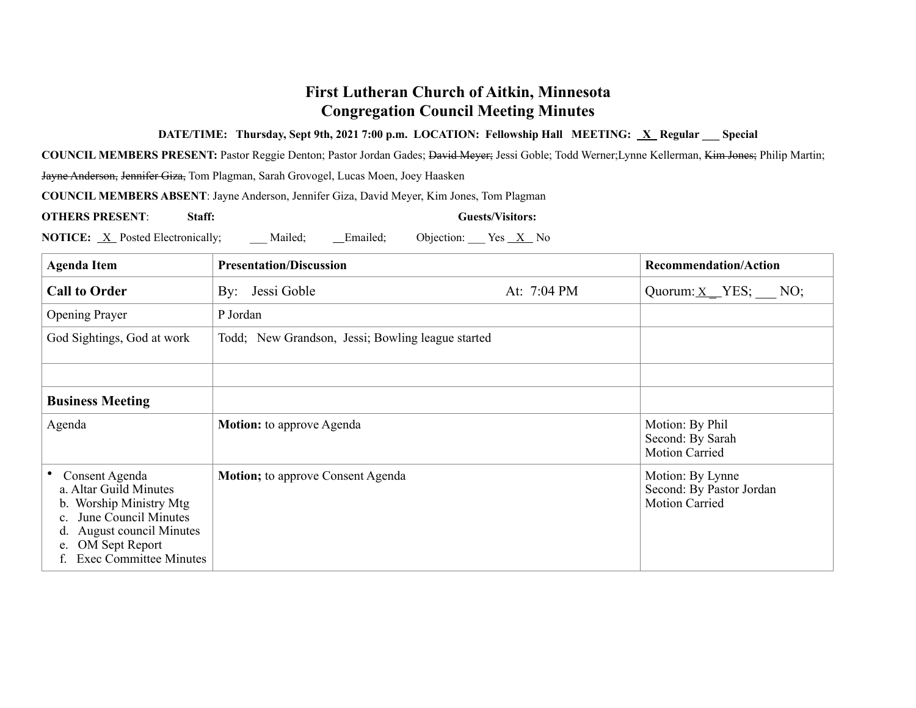## **First Lutheran Church of Aitkin, Minnesota Congregation Council Meeting Minutes**

## **DATE/TIME:** Thursday, Sept 9th, 2021 7:00 p.m. LOCATION: Fellowship Hall MEETING: X Regular Special

**COUNCIL MEMBERS PRESENT:** Pastor Reggie Denton; Pastor Jordan Gades; David Meyer; Jessi Goble; Todd Werner;Lynne Kellerman, Kim Jones; Philip Martin;

Jayne Anderson, Jennifer Giza, Tom Plagman, Sarah Grovogel, Lucas Moen, Joey Haasken

**COUNCIL MEMBERS ABSENT**: Jayne Anderson, Jennifer Giza, David Meyer, Kim Jones, Tom Plagman

**OTHERS PRESENT**: **Staff: Guests/Visitors:**

**NOTICE:** X Posted Electronically; Mailed; Emailed; Objection: Yes X No

| <b>Agenda Item</b>                                                                                                                                                                          | <b>Presentation/Discussion</b>                    |             | <b>Recommendation/Action</b>                                          |
|---------------------------------------------------------------------------------------------------------------------------------------------------------------------------------------------|---------------------------------------------------|-------------|-----------------------------------------------------------------------|
| <b>Call to Order</b>                                                                                                                                                                        | By: Jessi Goble                                   | At: 7:04 PM | Quorum: $X$ YES; NO;                                                  |
| <b>Opening Prayer</b>                                                                                                                                                                       | P Jordan                                          |             |                                                                       |
| God Sightings, God at work                                                                                                                                                                  | Todd; New Grandson, Jessi; Bowling league started |             |                                                                       |
|                                                                                                                                                                                             |                                                   |             |                                                                       |
| <b>Business Meeting</b>                                                                                                                                                                     |                                                   |             |                                                                       |
| Agenda                                                                                                                                                                                      | <b>Motion:</b> to approve Agenda                  |             | Motion: By Phil<br>Second: By Sarah<br><b>Motion Carried</b>          |
| Consent Agenda<br>a. Altar Guild Minutes<br>b. Worship Ministry Mtg<br>June Council Minutes<br><b>August council Minutes</b><br>d.<br>OM Sept Report<br>e.<br><b>Exec Committee Minutes</b> | <b>Motion</b> ; to approve Consent Agenda         |             | Motion: By Lynne<br>Second: By Pastor Jordan<br><b>Motion Carried</b> |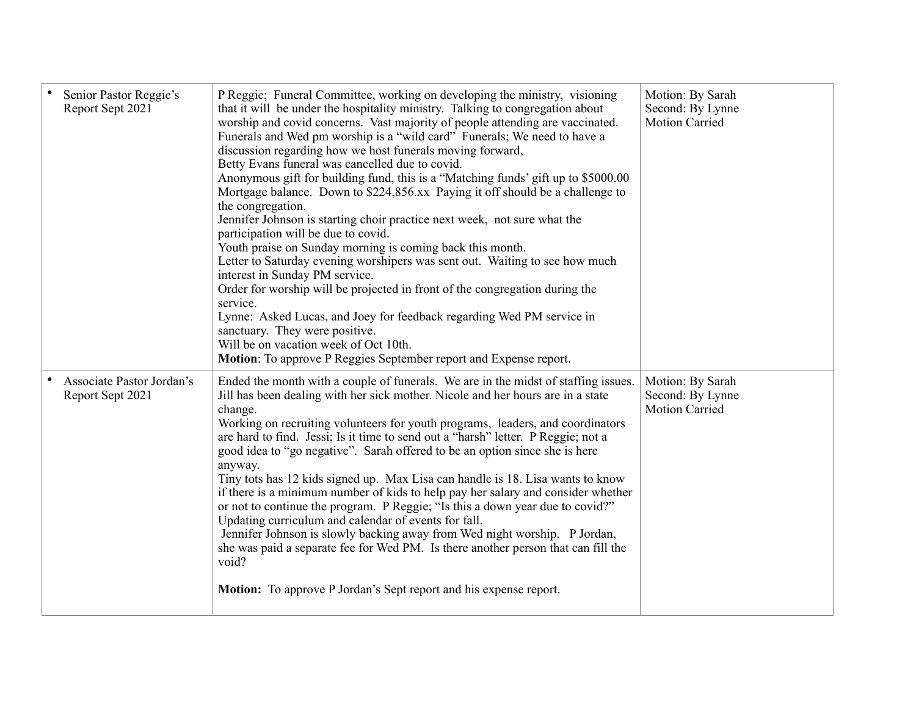| Senior Pastor Reggie's<br>Report Sept 2021    | P Reggie; Funeral Committee, working on developing the ministry, visioning<br>that it will be under the hospitality ministry. Talking to congregation about<br>worship and covid concerns. Vast majority of people attending are vaccinated.<br>Funerals and Wed pm worship is a "wild card" Funerals; We need to have a<br>discussion regarding how we host funerals moving forward,<br>Betty Evans funeral was cancelled due to covid.<br>Anonymous gift for building fund, this is a "Matching funds' gift up to \$5000.00<br>Mortgage balance. Down to \$224,856.xx Paying it off should be a challenge to<br>the congregation.<br>Jennifer Johnson is starting choir practice next week, not sure what the<br>participation will be due to covid.<br>Youth praise on Sunday morning is coming back this month.<br>Letter to Saturday evening worshipers was sent out. Waiting to see how much<br>interest in Sunday PM service.<br>Order for worship will be projected in front of the congregation during the<br>service.<br>Lynne: Asked Lucas, and Joey for feedback regarding Wed PM service in<br>sanctuary. They were positive.<br>Will be on vacation week of Oct 10th.<br>Motion: To approve P Reggies September report and Expense report. | Motion: By Sarah<br>Second: By Lynne<br><b>Motion Carried</b> |
|-----------------------------------------------|----------------------------------------------------------------------------------------------------------------------------------------------------------------------------------------------------------------------------------------------------------------------------------------------------------------------------------------------------------------------------------------------------------------------------------------------------------------------------------------------------------------------------------------------------------------------------------------------------------------------------------------------------------------------------------------------------------------------------------------------------------------------------------------------------------------------------------------------------------------------------------------------------------------------------------------------------------------------------------------------------------------------------------------------------------------------------------------------------------------------------------------------------------------------------------------------------------------------------------------------------------|---------------------------------------------------------------|
| Associate Pastor Jordan's<br>Report Sept 2021 | Ended the month with a couple of funerals. We are in the midst of staffing issues.<br>Jill has been dealing with her sick mother. Nicole and her hours are in a state<br>change.<br>Working on recruiting volunteers for youth programs, leaders, and coordinators<br>are hard to find. Jessi; Is it time to send out a "harsh" letter. P Reggie; not a<br>good idea to "go negative". Sarah offered to be an option since she is here<br>anyway.<br>Tiny tots has 12 kids signed up. Max Lisa can handle is 18. Lisa wants to know<br>if there is a minimum number of kids to help pay her salary and consider whether<br>or not to continue the program. P Reggie; "Is this a down year due to covid?"<br>Updating curriculum and calendar of events for fall.<br>Jennifer Johnson is slowly backing away from Wed night worship. P Jordan,<br>she was paid a separate fee for Wed PM. Is there another person that can fill the<br>void?<br><b>Motion:</b> To approve P Jordan's Sept report and his expense report.                                                                                                                                                                                                                                  | Motion: By Sarah<br>Second: By Lynne<br><b>Motion Carried</b> |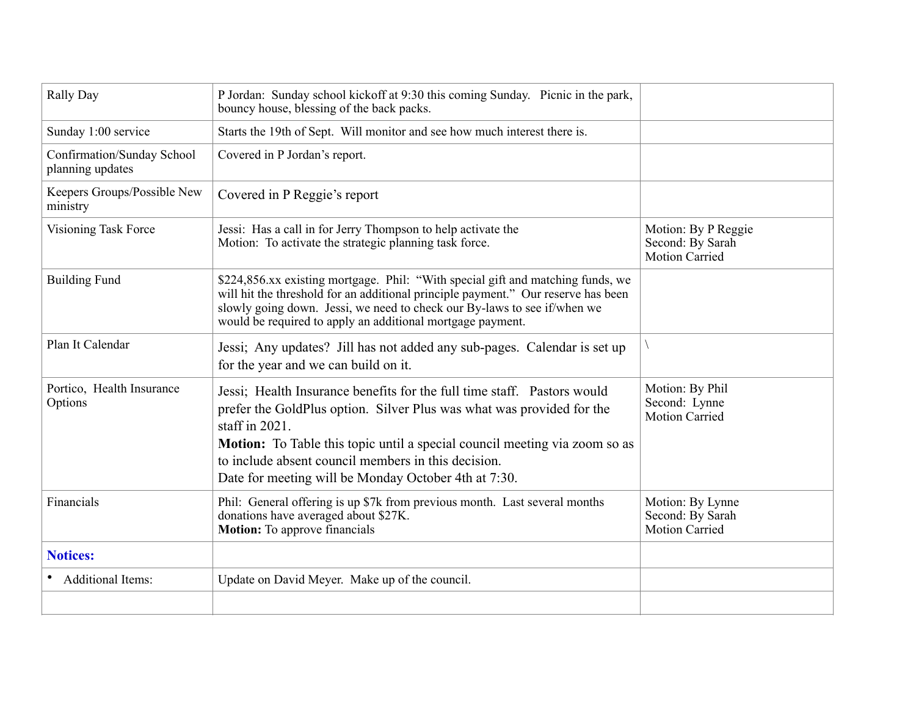| Rally Day                                      | P Jordan: Sunday school kickoff at 9:30 this coming Sunday. Picnic in the park,<br>bouncy house, blessing of the back packs.                                                                                                                                                                                                                                              |                                                                  |
|------------------------------------------------|---------------------------------------------------------------------------------------------------------------------------------------------------------------------------------------------------------------------------------------------------------------------------------------------------------------------------------------------------------------------------|------------------------------------------------------------------|
| Sunday 1:00 service                            | Starts the 19th of Sept. Will monitor and see how much interest there is.                                                                                                                                                                                                                                                                                                 |                                                                  |
| Confirmation/Sunday School<br>planning updates | Covered in P Jordan's report.                                                                                                                                                                                                                                                                                                                                             |                                                                  |
| Keepers Groups/Possible New<br>ministry        | Covered in P Reggie's report                                                                                                                                                                                                                                                                                                                                              |                                                                  |
| Visioning Task Force                           | Jessi: Has a call in for Jerry Thompson to help activate the<br>Motion: To activate the strategic planning task force.                                                                                                                                                                                                                                                    | Motion: By P Reggie<br>Second: By Sarah<br><b>Motion Carried</b> |
| <b>Building Fund</b>                           | \$224,856.xx existing mortgage. Phil: "With special gift and matching funds, we<br>will hit the threshold for an additional principle payment." Our reserve has been<br>slowly going down. Jessi, we need to check our By-laws to see if/when we<br>would be required to apply an additional mortgage payment.                                                            |                                                                  |
| Plan It Calendar                               | Jessi; Any updates? Jill has not added any sub-pages. Calendar is set up<br>for the year and we can build on it.                                                                                                                                                                                                                                                          |                                                                  |
| Portico, Health Insurance<br>Options           | Jessi; Health Insurance benefits for the full time staff. Pastors would<br>prefer the GoldPlus option. Silver Plus was what was provided for the<br>staff in $2021$ .<br><b>Motion:</b> To Table this topic until a special council meeting via zoom so as<br>to include absent council members in this decision.<br>Date for meeting will be Monday October 4th at 7:30. | Motion: By Phil<br>Second: Lynne<br><b>Motion Carried</b>        |
| Financials                                     | Phil: General offering is up \$7k from previous month. Last several months<br>donations have averaged about \$27K.<br>Motion: To approve financials                                                                                                                                                                                                                       | Motion: By Lynne<br>Second: By Sarah<br><b>Motion Carried</b>    |
| <b>Notices:</b>                                |                                                                                                                                                                                                                                                                                                                                                                           |                                                                  |
| • Additional Items:                            | Update on David Meyer. Make up of the council.                                                                                                                                                                                                                                                                                                                            |                                                                  |
|                                                |                                                                                                                                                                                                                                                                                                                                                                           |                                                                  |